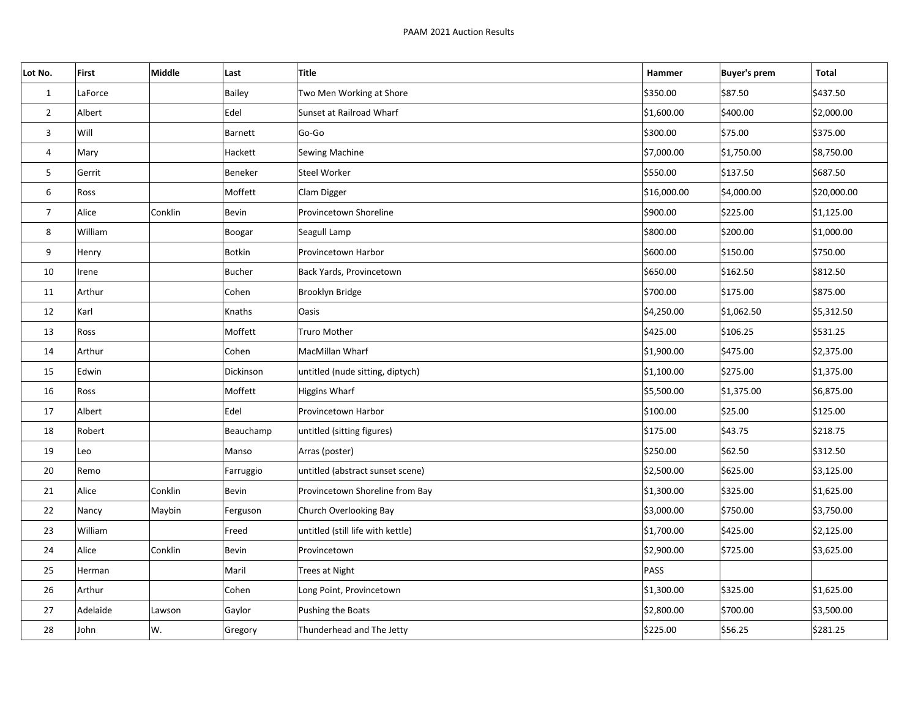| Lot No.        | First    | Middle  | Last          | Title                             | Hammer      | <b>Buyer's prem</b> | <b>Total</b> |
|----------------|----------|---------|---------------|-----------------------------------|-------------|---------------------|--------------|
| $\mathbf{1}$   | LaForce  |         | <b>Bailey</b> | Two Men Working at Shore          | \$350.00    | \$87.50             | \$437.50     |
| $\overline{2}$ | Albert   |         | Edel          | Sunset at Railroad Wharf          | \$1,600.00  | \$400.00            | \$2,000.00   |
| $\mathbf{3}$   | Will     |         | Barnett       | Go-Go                             | \$300.00    | \$75.00             | \$375.00     |
| 4              | Mary     |         | Hackett       | Sewing Machine                    | \$7,000.00  | \$1,750.00          | \$8,750.00   |
| 5              | Gerrit   |         | Beneker       | Steel Worker                      | \$550.00    | \$137.50            | \$687.50     |
| 6              | Ross     |         | Moffett       | Clam Digger                       | \$16,000.00 | \$4,000.00          | \$20,000.00  |
| $\overline{7}$ | Alice    | Conklin | Bevin         | Provincetown Shoreline            | \$900.00    | \$225.00            | \$1,125.00   |
| 8              | William  |         | Boogar        | Seagull Lamp                      | \$800.00    | \$200.00            | \$1,000.00   |
| 9              | Henry    |         | <b>Botkin</b> | Provincetown Harbor               | \$600.00    | \$150.00            | \$750.00     |
| 10             | Irene    |         | <b>Bucher</b> | Back Yards, Provincetown          | \$650.00    | \$162.50            | \$812.50     |
| 11             | Arthur   |         | Cohen         | Brooklyn Bridge                   | \$700.00    | \$175.00            | \$875.00     |
| 12             | Karl     |         | Knaths        | <b>Oasis</b>                      | \$4,250.00  | \$1,062.50          | \$5,312.50   |
| 13             | Ross     |         | Moffett       | <b>Truro Mother</b>               | \$425.00    | \$106.25            | \$531.25     |
| 14             | Arthur   |         | Cohen         | MacMillan Wharf                   | \$1,900.00  | \$475.00            | \$2,375.00   |
| 15             | Edwin    |         | Dickinson     | untitled (nude sitting, diptych)  | \$1,100.00  | \$275.00            | \$1,375.00   |
| 16             | Ross     |         | Moffett       | Higgins Wharf                     | \$5,500.00  | \$1,375.00          | \$6,875.00   |
| 17             | Albert   |         | Edel          | Provincetown Harbor               | \$100.00    | \$25.00             | \$125.00     |
| 18             | Robert   |         | Beauchamp     | untitled (sitting figures)        | \$175.00    | \$43.75             | \$218.75     |
| 19             | Leo      |         | Manso         | Arras (poster)                    | \$250.00    | \$62.50             | \$312.50     |
| 20             | Remo     |         | Farruggio     | untitled (abstract sunset scene)  | \$2,500.00  | \$625.00            | \$3,125.00   |
| 21             | Alice    | Conklin | Bevin         | Provincetown Shoreline from Bay   | \$1,300.00  | \$325.00            | \$1,625.00   |
| 22             | Nancy    | Maybin  | Ferguson      | Church Overlooking Bay            | \$3,000.00  | \$750.00            | \$3,750.00   |
| 23             | William  |         | Freed         | untitled (still life with kettle) | \$1,700.00  | \$425.00            | \$2,125.00   |
| 24             | Alice    | Conklin | Bevin         | Provincetown                      | \$2,900.00  | \$725.00            | \$3,625.00   |
| 25             | Herman   |         | Maril         | <b>Trees at Night</b>             | PASS        |                     |              |
| 26             | Arthur   |         | Cohen         | Long Point, Provincetown          | \$1,300.00  | \$325.00            | \$1,625.00   |
| 27             | Adelaide | Lawson  | Gaylor        | Pushing the Boats                 | \$2,800.00  | \$700.00            | \$3,500.00   |
| 28             | John     | W.      | Gregory       | Thunderhead and The Jetty         | \$225.00    | \$56.25             | \$281.25     |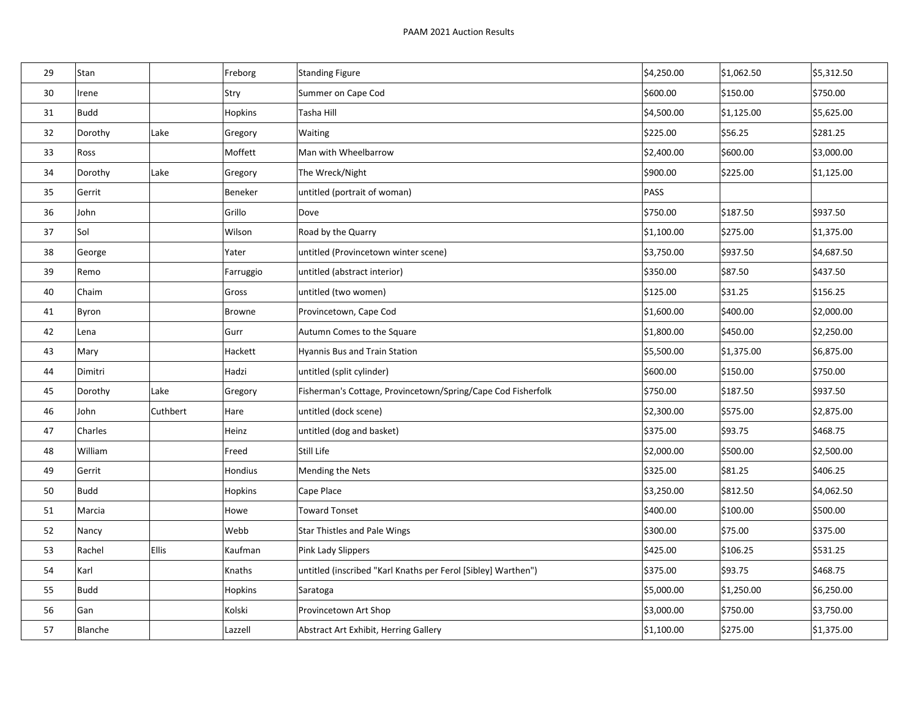| 29 | Stan    |              | Freborg       | Standing Figure                                               | \$4,250.00  | \$1,062.50 | \$5,312.50 |
|----|---------|--------------|---------------|---------------------------------------------------------------|-------------|------------|------------|
| 30 | Irene   |              | Stry          | Summer on Cape Cod                                            | \$600.00    | \$150.00   | \$750.00   |
| 31 | Budd    |              | Hopkins       | Tasha Hill                                                    | \$4,500.00  | \$1,125.00 | \$5,625.00 |
| 32 | Dorothy | Lake         | Gregory       | Waiting                                                       | \$225.00    | \$56.25    | \$281.25   |
| 33 | Ross    |              | Moffett       | Man with Wheelbarrow                                          | \$2,400.00  | \$600.00   | \$3,000.00 |
| 34 | Dorothy | Lake         | Gregory       | The Wreck/Night                                               | \$900.00    | \$225.00   | \$1,125.00 |
| 35 | Gerrit  |              | Beneker       | untitled (portrait of woman)                                  | <b>PASS</b> |            |            |
| 36 | John    |              | Grillo        | Dove                                                          | \$750.00    | \$187.50   | \$937.50   |
| 37 | Sol     |              | Wilson        | Road by the Quarry                                            | \$1,100.00  | \$275.00   | \$1,375.00 |
| 38 | George  |              | Yater         | untitled (Provincetown winter scene)                          | \$3,750.00  | \$937.50   | \$4,687.50 |
| 39 | Remo    |              | Farruggio     | untitled (abstract interior)                                  | \$350.00    | \$87.50    | \$437.50   |
| 40 | Chaim   |              | Gross         | untitled (two women)                                          | \$125.00    | \$31.25    | \$156.25   |
| 41 | Byron   |              | <b>Browne</b> | Provincetown, Cape Cod                                        | \$1,600.00  | \$400.00   | \$2,000.00 |
| 42 | Lena    |              | Gurr          | Autumn Comes to the Square                                    | \$1,800.00  | \$450.00   | \$2,250.00 |
| 43 | Mary    |              | Hackett       | Hyannis Bus and Train Station                                 | \$5,500.00  | \$1,375.00 | \$6,875.00 |
| 44 | Dimitri |              | Hadzi         | untitled (split cylinder)                                     | \$600.00    | \$150.00   | \$750.00   |
| 45 | Dorothy | Lake         | Gregory       | Fisherman's Cottage, Provincetown/Spring/Cape Cod Fisherfolk  | \$750.00    | \$187.50   | \$937.50   |
| 46 | John    | Cuthbert     | Hare          | untitled (dock scene)                                         | \$2,300.00  | \$575.00   | \$2,875.00 |
| 47 | Charles |              | Heinz         | untitled (dog and basket)                                     | \$375.00    | \$93.75    | \$468.75   |
| 48 | William |              | Freed         | Still Life                                                    | \$2,000.00  | \$500.00   | \$2,500.00 |
| 49 | Gerrit  |              | Hondius       | Mending the Nets                                              | \$325.00    | \$81.25    | \$406.25   |
| 50 | Budd    |              | Hopkins       | Cape Place                                                    | \$3,250.00  | \$812.50   | \$4,062.50 |
| 51 | Marcia  |              | Howe          | <b>Toward Tonset</b>                                          | \$400.00    | \$100.00   | \$500.00   |
| 52 | Nancy   |              | Webb          | <b>Star Thistles and Pale Wings</b>                           | \$300.00    | \$75.00    | \$375.00   |
| 53 | Rachel  | <b>Ellis</b> | Kaufman       | Pink Lady Slippers                                            | \$425.00    | \$106.25   | \$531.25   |
| 54 | Karl    |              | Knaths        | untitled (inscribed "Karl Knaths per Ferol [Sibley] Warthen") | \$375.00    | \$93.75    | \$468.75   |
| 55 | Budd    |              | Hopkins       | Saratoga                                                      | \$5,000.00  | \$1,250.00 | \$6,250.00 |
| 56 | Gan     |              | Kolski        | Provincetown Art Shop                                         | \$3,000.00  | \$750.00   | \$3,750.00 |
| 57 | Blanche |              | Lazzell       | Abstract Art Exhibit, Herring Gallery                         | \$1,100.00  | \$275.00   | \$1,375.00 |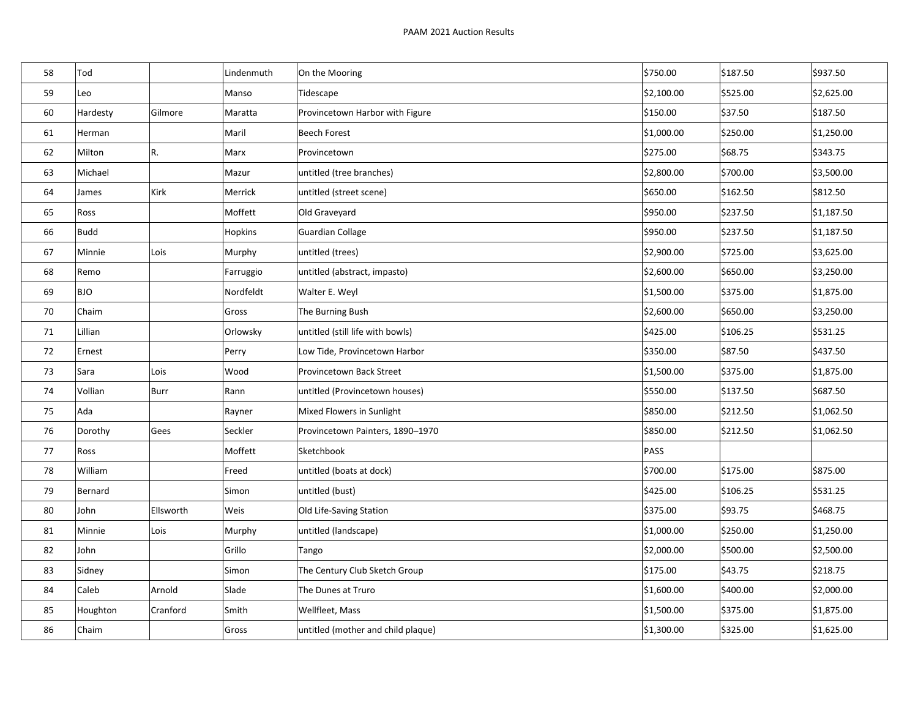| 58 | Tod        |           | Lindenmuth | On the Mooring                     | \$750.00    | \$187.50 | \$937.50   |
|----|------------|-----------|------------|------------------------------------|-------------|----------|------------|
| 59 | Leo        |           | Manso      | Tidescape                          | \$2,100.00  | \$525.00 | \$2,625.00 |
| 60 | Hardesty   | Gilmore   | Maratta    | Provincetown Harbor with Figure    | \$150.00    | \$37.50  | \$187.50   |
| 61 | Herman     |           | Maril      | <b>Beech Forest</b>                | \$1,000.00  | \$250.00 | \$1,250.00 |
| 62 | Milton     | R.        | Marx       | Provincetown                       | \$275.00    | \$68.75  | \$343.75   |
| 63 | Michael    |           | Mazur      | untitled (tree branches)           | \$2,800.00  | \$700.00 | \$3,500.00 |
| 64 | James      | Kirk      | Merrick    | untitled (street scene)            | \$650.00    | \$162.50 | \$812.50   |
| 65 | Ross       |           | Moffett    | Old Graveyard                      | \$950.00    | \$237.50 | \$1,187.50 |
| 66 | Budd       |           | Hopkins    | Guardian Collage                   | \$950.00    | \$237.50 | \$1,187.50 |
| 67 | Minnie     | Lois      | Murphy     | untitled (trees)                   | \$2,900.00  | \$725.00 | \$3,625.00 |
| 68 | Remo       |           | Farruggio  | untitled (abstract, impasto)       | \$2,600.00  | \$650.00 | \$3,250.00 |
| 69 | <b>BJO</b> |           | Nordfeldt  | Walter E. Weyl                     | \$1,500.00  | \$375.00 | \$1,875.00 |
| 70 | Chaim      |           | Gross      | The Burning Bush                   | \$2,600.00  | \$650.00 | \$3,250.00 |
| 71 | Lillian    |           | Orlowsky   | untitled (still life with bowls)   | \$425.00    | \$106.25 | \$531.25   |
| 72 | Ernest     |           | Perry      | Low Tide, Provincetown Harbor      | \$350.00    | \$87.50  | \$437.50   |
| 73 | Sara       | Lois      | Wood       | Provincetown Back Street           | \$1,500.00  | \$375.00 | \$1,875.00 |
| 74 | Vollian    | Burr      | Rann       | untitled (Provincetown houses)     | \$550.00    | \$137.50 | \$687.50   |
| 75 | Ada        |           | Rayner     | Mixed Flowers in Sunlight          | \$850.00    | \$212.50 | \$1,062.50 |
| 76 | Dorothy    | Gees      | Seckler    | Provincetown Painters, 1890-1970   | \$850.00    | \$212.50 | \$1,062.50 |
| 77 | Ross       |           | Moffett    | Sketchbook                         | <b>PASS</b> |          |            |
| 78 | William    |           | Freed      | untitled (boats at dock)           | \$700.00    | \$175.00 | \$875.00   |
| 79 | Bernard    |           | Simon      | untitled (bust)                    | \$425.00    | \$106.25 | \$531.25   |
| 80 | John       | Ellsworth | Weis       | Old Life-Saving Station            | \$375.00    | \$93.75  | \$468.75   |
| 81 | Minnie     | Lois      | Murphy     | untitled (landscape)               | \$1,000.00  | \$250.00 | \$1,250.00 |
| 82 | John       |           | Grillo     | Tango                              | \$2,000.00  | \$500.00 | \$2,500.00 |
| 83 | Sidney     |           | Simon      | The Century Club Sketch Group      | \$175.00    | \$43.75  | \$218.75   |
| 84 | Caleb      | Arnold    | Slade      | The Dunes at Truro                 | \$1,600.00  | \$400.00 | \$2,000.00 |
| 85 | Houghton   | Cranford  | Smith      | Wellfleet, Mass                    | \$1,500.00  | \$375.00 | \$1,875.00 |
| 86 | Chaim      |           | Gross      | untitled (mother and child plaque) | \$1,300.00  | \$325.00 | \$1,625.00 |